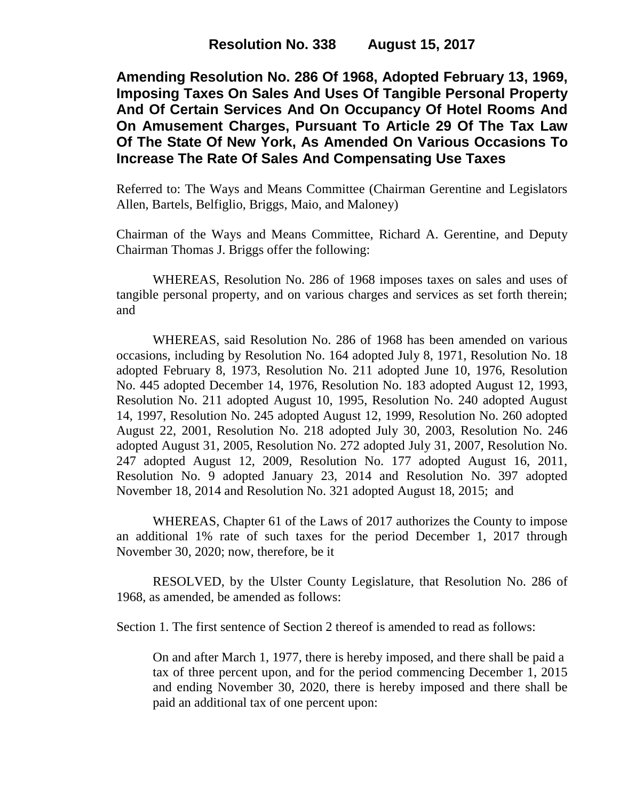**Amending Resolution No. 286 Of 1968, Adopted February 13, 1969, Imposing Taxes On Sales And Uses Of Tangible Personal Property And Of Certain Services And On Occupancy Of Hotel Rooms And On Amusement Charges, Pursuant To Article 29 Of The Tax Law Of The State Of New York, As Amended On Various Occasions To Increase The Rate Of Sales And Compensating Use Taxes**

Referred to: The Ways and Means Committee (Chairman Gerentine and Legislators Allen, Bartels, Belfiglio, Briggs, Maio, and Maloney)

Chairman of the Ways and Means Committee, Richard A. Gerentine, and Deputy Chairman Thomas J. Briggs offer the following:

WHEREAS, Resolution No. 286 of 1968 imposes taxes on sales and uses of tangible personal property, and on various charges and services as set forth therein; and

WHEREAS, said Resolution No. 286 of 1968 has been amended on various occasions, including by Resolution No. 164 adopted July 8, 1971, Resolution No. 18 adopted February 8, 1973, Resolution No. 211 adopted June 10, 1976, Resolution No. 445 adopted December 14, 1976, Resolution No. 183 adopted August 12, 1993, Resolution No. 211 adopted August 10, 1995, Resolution No. 240 adopted August 14, 1997, Resolution No. 245 adopted August 12, 1999, Resolution No. 260 adopted August 22, 2001, Resolution No. 218 adopted July 30, 2003, Resolution No. 246 adopted August 31, 2005, Resolution No. 272 adopted July 31, 2007, Resolution No. 247 adopted August 12, 2009, Resolution No. 177 adopted August 16, 2011, Resolution No. 9 adopted January 23, 2014 and Resolution No. 397 adopted November 18, 2014 and Resolution No. 321 adopted August 18, 2015; and

WHEREAS, Chapter 61 of the Laws of 2017 authorizes the County to impose an additional 1% rate of such taxes for the period December 1, 2017 through November 30, 2020; now, therefore, be it

RESOLVED, by the Ulster County Legislature, that Resolution No. 286 of 1968, as amended, be amended as follows:

Section 1. The first sentence of Section 2 thereof is amended to read as follows:

On and after March 1, 1977, there is hereby imposed, and there shall be paid a tax of three percent upon, and for the period commencing December 1, 2015 and ending November 30, 2020, there is hereby imposed and there shall be paid an additional tax of one percent upon: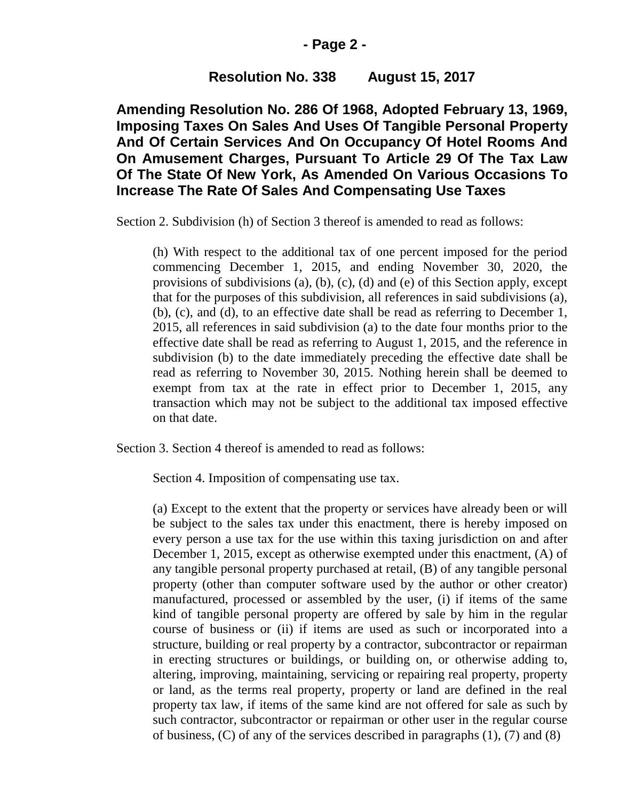### **- Page 2 -**

# **Resolution No. 338 August 15, 2017**

**Amending Resolution No. 286 Of 1968, Adopted February 13, 1969, Imposing Taxes On Sales And Uses Of Tangible Personal Property And Of Certain Services And On Occupancy Of Hotel Rooms And On Amusement Charges, Pursuant To Article 29 Of The Tax Law Of The State Of New York, As Amended On Various Occasions To Increase The Rate Of Sales And Compensating Use Taxes**

Section 2. Subdivision (h) of Section 3 thereof is amended to read as follows:

(h) With respect to the additional tax of one percent imposed for the period commencing December 1, 2015, and ending November 30, 2020, the provisions of subdivisions (a), (b), (c), (d) and (e) of this Section apply, except that for the purposes of this subdivision, all references in said subdivisions (a), (b), (c), and (d), to an effective date shall be read as referring to December 1, 2015, all references in said subdivision (a) to the date four months prior to the effective date shall be read as referring to August 1, 2015, and the reference in subdivision (b) to the date immediately preceding the effective date shall be read as referring to November 30, 2015. Nothing herein shall be deemed to exempt from tax at the rate in effect prior to December 1, 2015, any transaction which may not be subject to the additional tax imposed effective on that date.

Section 3. Section 4 thereof is amended to read as follows:

Section 4. Imposition of compensating use tax.

(a) Except to the extent that the property or services have already been or will be subject to the sales tax under this enactment, there is hereby imposed on every person a use tax for the use within this taxing jurisdiction on and after December 1, 2015, except as otherwise exempted under this enactment, (A) of any tangible personal property purchased at retail, (B) of any tangible personal property (other than computer software used by the author or other creator) manufactured, processed or assembled by the user, (i) if items of the same kind of tangible personal property are offered by sale by him in the regular course of business or (ii) if items are used as such or incorporated into a structure, building or real property by a contractor, subcontractor or repairman in erecting structures or buildings, or building on, or otherwise adding to, altering, improving, maintaining, servicing or repairing real property, property or land, as the terms real property, property or land are defined in the real property tax law, if items of the same kind are not offered for sale as such by such contractor, subcontractor or repairman or other user in the regular course of business, (C) of any of the services described in paragraphs (1), (7) and (8)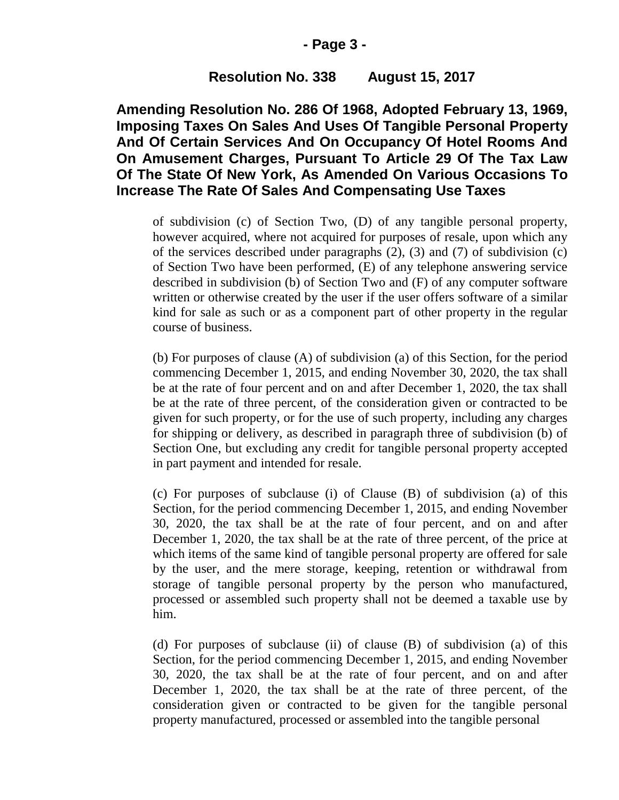### **- Page 3 -**

# **Resolution No. 338 August 15, 2017**

**Amending Resolution No. 286 Of 1968, Adopted February 13, 1969, Imposing Taxes On Sales And Uses Of Tangible Personal Property And Of Certain Services And On Occupancy Of Hotel Rooms And On Amusement Charges, Pursuant To Article 29 Of The Tax Law Of The State Of New York, As Amended On Various Occasions To Increase The Rate Of Sales And Compensating Use Taxes**

of subdivision (c) of Section Two, (D) of any tangible personal property, however acquired, where not acquired for purposes of resale, upon which any of the services described under paragraphs (2), (3) and (7) of subdivision (c) of Section Two have been performed, (E) of any telephone answering service described in subdivision (b) of Section Two and (F) of any computer software written or otherwise created by the user if the user offers software of a similar kind for sale as such or as a component part of other property in the regular course of business.

(b) For purposes of clause (A) of subdivision (a) of this Section, for the period commencing December 1, 2015, and ending November 30, 2020, the tax shall be at the rate of four percent and on and after December 1, 2020, the tax shall be at the rate of three percent, of the consideration given or contracted to be given for such property, or for the use of such property, including any charges for shipping or delivery, as described in paragraph three of subdivision (b) of Section One, but excluding any credit for tangible personal property accepted in part payment and intended for resale.

(c) For purposes of subclause (i) of Clause (B) of subdivision (a) of this Section, for the period commencing December 1, 2015, and ending November 30, 2020, the tax shall be at the rate of four percent, and on and after December 1, 2020, the tax shall be at the rate of three percent, of the price at which items of the same kind of tangible personal property are offered for sale by the user, and the mere storage, keeping, retention or withdrawal from storage of tangible personal property by the person who manufactured, processed or assembled such property shall not be deemed a taxable use by him.

(d) For purposes of subclause (ii) of clause (B) of subdivision (a) of this Section, for the period commencing December 1, 2015, and ending November 30, 2020, the tax shall be at the rate of four percent, and on and after December 1, 2020, the tax shall be at the rate of three percent, of the consideration given or contracted to be given for the tangible personal property manufactured, processed or assembled into the tangible personal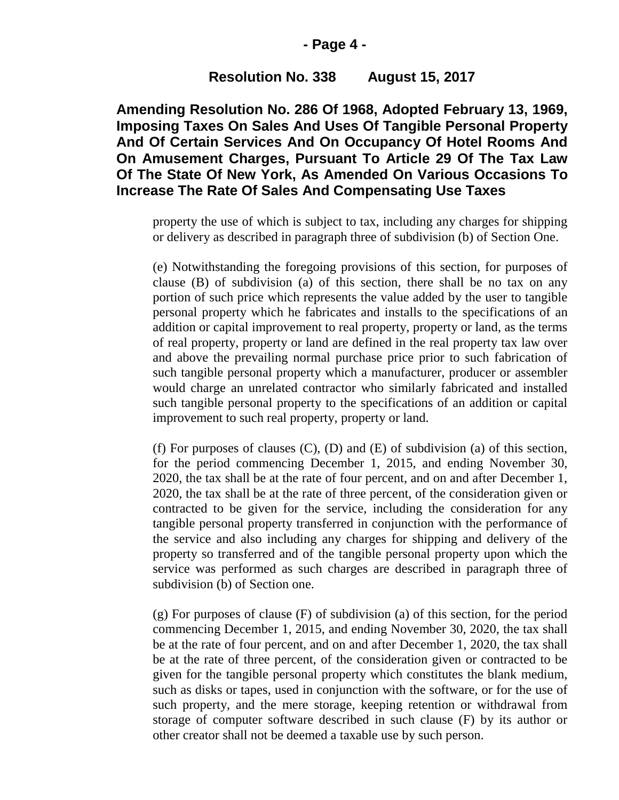#### **- Page 4 -**

# **Resolution No. 338 August 15, 2017**

**Amending Resolution No. 286 Of 1968, Adopted February 13, 1969, Imposing Taxes On Sales And Uses Of Tangible Personal Property And Of Certain Services And On Occupancy Of Hotel Rooms And On Amusement Charges, Pursuant To Article 29 Of The Tax Law Of The State Of New York, As Amended On Various Occasions To Increase The Rate Of Sales And Compensating Use Taxes**

property the use of which is subject to tax, including any charges for shipping or delivery as described in paragraph three of subdivision (b) of Section One.

(e) Notwithstanding the foregoing provisions of this section, for purposes of clause (B) of subdivision (a) of this section, there shall be no tax on any portion of such price which represents the value added by the user to tangible personal property which he fabricates and installs to the specifications of an addition or capital improvement to real property, property or land, as the terms of real property, property or land are defined in the real property tax law over and above the prevailing normal purchase price prior to such fabrication of such tangible personal property which a manufacturer, producer or assembler would charge an unrelated contractor who similarly fabricated and installed such tangible personal property to the specifications of an addition or capital improvement to such real property, property or land.

(f) For purposes of clauses (C), (D) and (E) of subdivision (a) of this section, for the period commencing December 1, 2015, and ending November 30, 2020, the tax shall be at the rate of four percent, and on and after December 1, 2020, the tax shall be at the rate of three percent, of the consideration given or contracted to be given for the service, including the consideration for any tangible personal property transferred in conjunction with the performance of the service and also including any charges for shipping and delivery of the property so transferred and of the tangible personal property upon which the service was performed as such charges are described in paragraph three of subdivision (b) of Section one.

(g) For purposes of clause (F) of subdivision (a) of this section, for the period commencing December 1, 2015, and ending November 30, 2020, the tax shall be at the rate of four percent, and on and after December 1, 2020, the tax shall be at the rate of three percent, of the consideration given or contracted to be given for the tangible personal property which constitutes the blank medium, such as disks or tapes, used in conjunction with the software, or for the use of such property, and the mere storage, keeping retention or withdrawal from storage of computer software described in such clause (F) by its author or other creator shall not be deemed a taxable use by such person.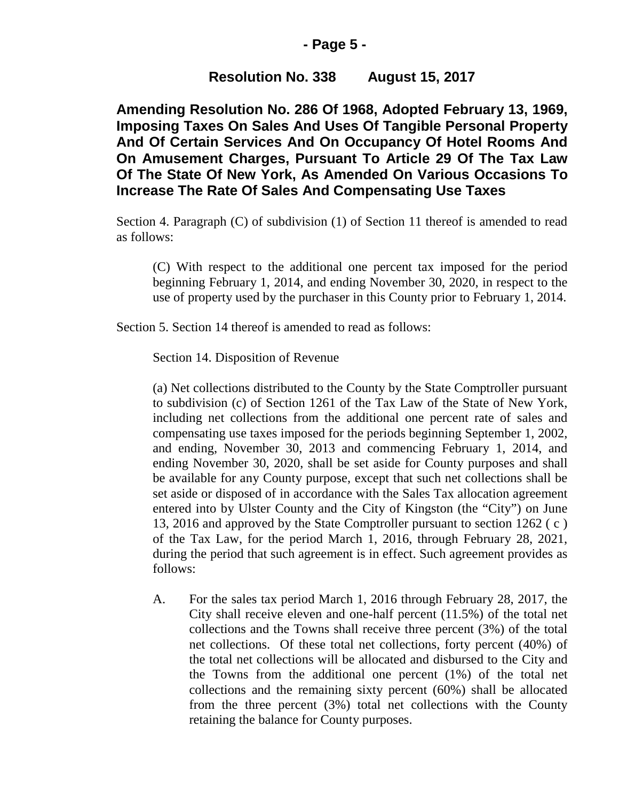# **- Page 5 -**

# **Resolution No. 338 August 15, 2017**

**Amending Resolution No. 286 Of 1968, Adopted February 13, 1969, Imposing Taxes On Sales And Uses Of Tangible Personal Property And Of Certain Services And On Occupancy Of Hotel Rooms And On Amusement Charges, Pursuant To Article 29 Of The Tax Law Of The State Of New York, As Amended On Various Occasions To Increase The Rate Of Sales And Compensating Use Taxes**

Section 4. Paragraph (C) of subdivision (1) of Section 11 thereof is amended to read as follows:

(C) With respect to the additional one percent tax imposed for the period beginning February 1, 2014, and ending November 30, 2020, in respect to the use of property used by the purchaser in this County prior to February 1, 2014.

Section 5. Section 14 thereof is amended to read as follows:

Section 14. Disposition of Revenue

(a) Net collections distributed to the County by the State Comptroller pursuant to subdivision (c) of Section 1261 of the Tax Law of the State of New York, including net collections from the additional one percent rate of sales and compensating use taxes imposed for the periods beginning September 1, 2002, and ending, November 30, 2013 and commencing February 1, 2014, and ending November 30, 2020, shall be set aside for County purposes and shall be available for any County purpose, except that such net collections shall be set aside or disposed of in accordance with the Sales Tax allocation agreement entered into by Ulster County and the City of Kingston (the "City") on June 13, 2016 and approved by the State Comptroller pursuant to section 1262 ( c ) of the Tax Law, for the period March 1, 2016, through February 28, 2021, during the period that such agreement is in effect. Such agreement provides as follows:

A. For the sales tax period March 1, 2016 through February 28, 2017, the City shall receive eleven and one-half percent (11.5%) of the total net collections and the Towns shall receive three percent (3%) of the total net collections. Of these total net collections, forty percent (40%) of the total net collections will be allocated and disbursed to the City and the Towns from the additional one percent (1%) of the total net collections and the remaining sixty percent (60%) shall be allocated from the three percent (3%) total net collections with the County retaining the balance for County purposes.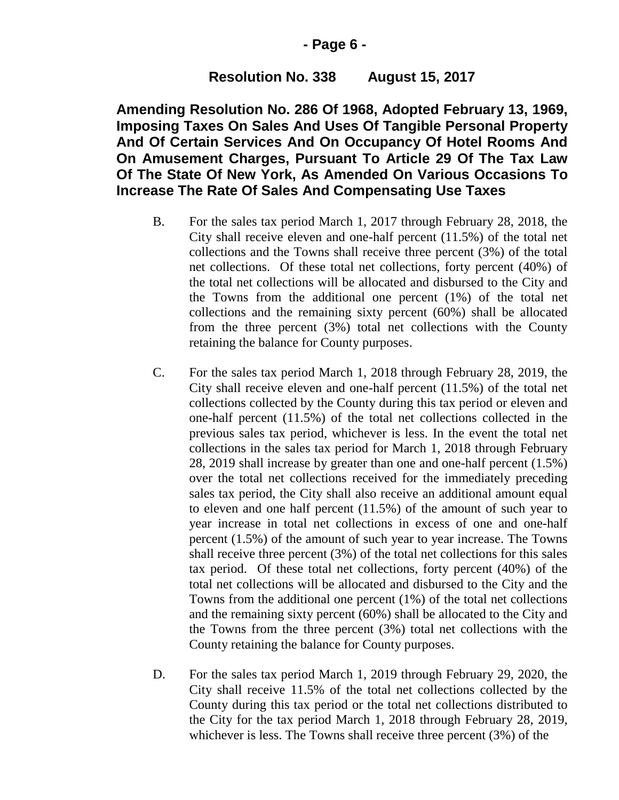## **- Page 6 -**

# **Resolution No. 338 August 15, 2017**

**Amending Resolution No. 286 Of 1968, Adopted February 13, 1969, Imposing Taxes On Sales And Uses Of Tangible Personal Property And Of Certain Services And On Occupancy Of Hotel Rooms And On Amusement Charges, Pursuant To Article 29 Of The Tax Law Of The State Of New York, As Amended On Various Occasions To Increase The Rate Of Sales And Compensating Use Taxes**

- B. For the sales tax period March 1, 2017 through February 28, 2018, the City shall receive eleven and one-half percent (11.5%) of the total net collections and the Towns shall receive three percent (3%) of the total net collections. Of these total net collections, forty percent (40%) of the total net collections will be allocated and disbursed to the City and the Towns from the additional one percent (1%) of the total net collections and the remaining sixty percent (60%) shall be allocated from the three percent (3%) total net collections with the County retaining the balance for County purposes.
- C. For the sales tax period March 1, 2018 through February 28, 2019, the City shall receive eleven and one-half percent (11.5%) of the total net collections collected by the County during this tax period or eleven and one-half percent (11.5%) of the total net collections collected in the previous sales tax period, whichever is less. In the event the total net collections in the sales tax period for March 1, 2018 through February 28, 2019 shall increase by greater than one and one-half percent (1.5%) over the total net collections received for the immediately preceding sales tax period, the City shall also receive an additional amount equal to eleven and one half percent (11.5%) of the amount of such year to year increase in total net collections in excess of one and one-half percent (1.5%) of the amount of such year to year increase. The Towns shall receive three percent (3%) of the total net collections for this sales tax period. Of these total net collections, forty percent (40%) of the total net collections will be allocated and disbursed to the City and the Towns from the additional one percent (1%) of the total net collections and the remaining sixty percent (60%) shall be allocated to the City and the Towns from the three percent (3%) total net collections with the County retaining the balance for County purposes.
- D. For the sales tax period March 1, 2019 through February 29, 2020, the City shall receive 11.5% of the total net collections collected by the County during this tax period or the total net collections distributed to the City for the tax period March 1, 2018 through February 28, 2019, whichever is less. The Towns shall receive three percent (3%) of the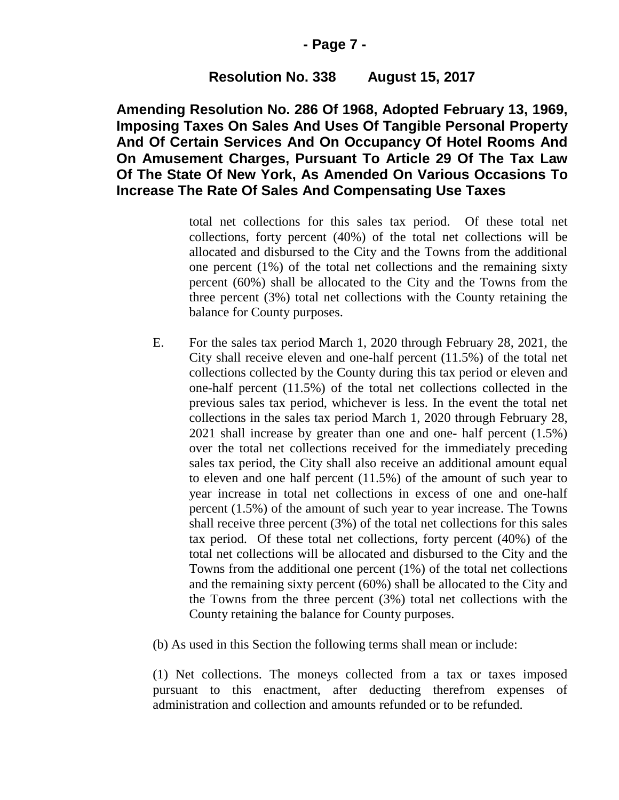## **- Page 7 -**

# **Resolution No. 338 August 15, 2017**

**Amending Resolution No. 286 Of 1968, Adopted February 13, 1969, Imposing Taxes On Sales And Uses Of Tangible Personal Property And Of Certain Services And On Occupancy Of Hotel Rooms And On Amusement Charges, Pursuant To Article 29 Of The Tax Law Of The State Of New York, As Amended On Various Occasions To Increase The Rate Of Sales And Compensating Use Taxes**

> total net collections for this sales tax period. Of these total net collections, forty percent (40%) of the total net collections will be allocated and disbursed to the City and the Towns from the additional one percent (1%) of the total net collections and the remaining sixty percent (60%) shall be allocated to the City and the Towns from the three percent (3%) total net collections with the County retaining the balance for County purposes.

- E. For the sales tax period March 1, 2020 through February 28, 2021, the City shall receive eleven and one-half percent (11.5%) of the total net collections collected by the County during this tax period or eleven and one-half percent (11.5%) of the total net collections collected in the previous sales tax period, whichever is less. In the event the total net collections in the sales tax period March 1, 2020 through February 28, 2021 shall increase by greater than one and one- half percent (1.5%) over the total net collections received for the immediately preceding sales tax period, the City shall also receive an additional amount equal to eleven and one half percent (11.5%) of the amount of such year to year increase in total net collections in excess of one and one-half percent (1.5%) of the amount of such year to year increase. The Towns shall receive three percent (3%) of the total net collections for this sales tax period. Of these total net collections, forty percent (40%) of the total net collections will be allocated and disbursed to the City and the Towns from the additional one percent (1%) of the total net collections and the remaining sixty percent (60%) shall be allocated to the City and the Towns from the three percent (3%) total net collections with the County retaining the balance for County purposes.
- (b) As used in this Section the following terms shall mean or include:

(1) Net collections. The moneys collected from a tax or taxes imposed pursuant to this enactment, after deducting therefrom expenses of administration and collection and amounts refunded or to be refunded.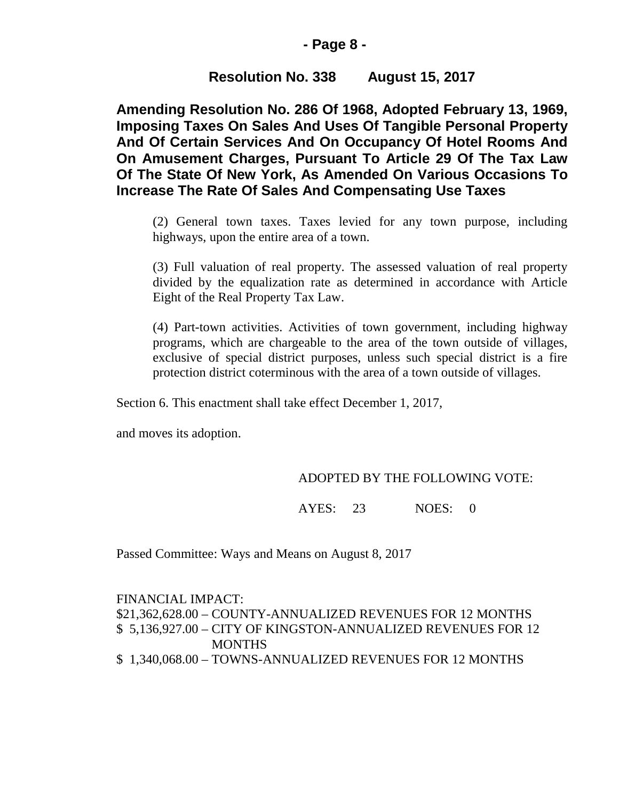## **- Page 8 -**

# **Resolution No. 338 August 15, 2017**

**Amending Resolution No. 286 Of 1968, Adopted February 13, 1969, Imposing Taxes On Sales And Uses Of Tangible Personal Property And Of Certain Services And On Occupancy Of Hotel Rooms And On Amusement Charges, Pursuant To Article 29 Of The Tax Law Of The State Of New York, As Amended On Various Occasions To Increase The Rate Of Sales And Compensating Use Taxes**

(2) General town taxes. Taxes levied for any town purpose, including highways, upon the entire area of a town.

(3) Full valuation of real property. The assessed valuation of real property divided by the equalization rate as determined in accordance with Article Eight of the Real Property Tax Law.

(4) Part-town activities. Activities of town government, including highway programs, which are chargeable to the area of the town outside of villages, exclusive of special district purposes, unless such special district is a fire protection district coterminous with the area of a town outside of villages.

Section 6. This enactment shall take effect December 1, 2017,

and moves its adoption.

## ADOPTED BY THE FOLLOWING VOTE:

AYES: 23 NOES: 0

Passed Committee: Ways and Means on August 8, 2017

FINANCIAL IMPACT: \$21,362,628.00 – COUNTY-ANNUALIZED REVENUES FOR 12 MONTHS \$ 5,136,927.00 – CITY OF KINGSTON-ANNUALIZED REVENUES FOR 12 **MONTHS** \$ 1,340,068.00 – TOWNS-ANNUALIZED REVENUES FOR 12 MONTHS